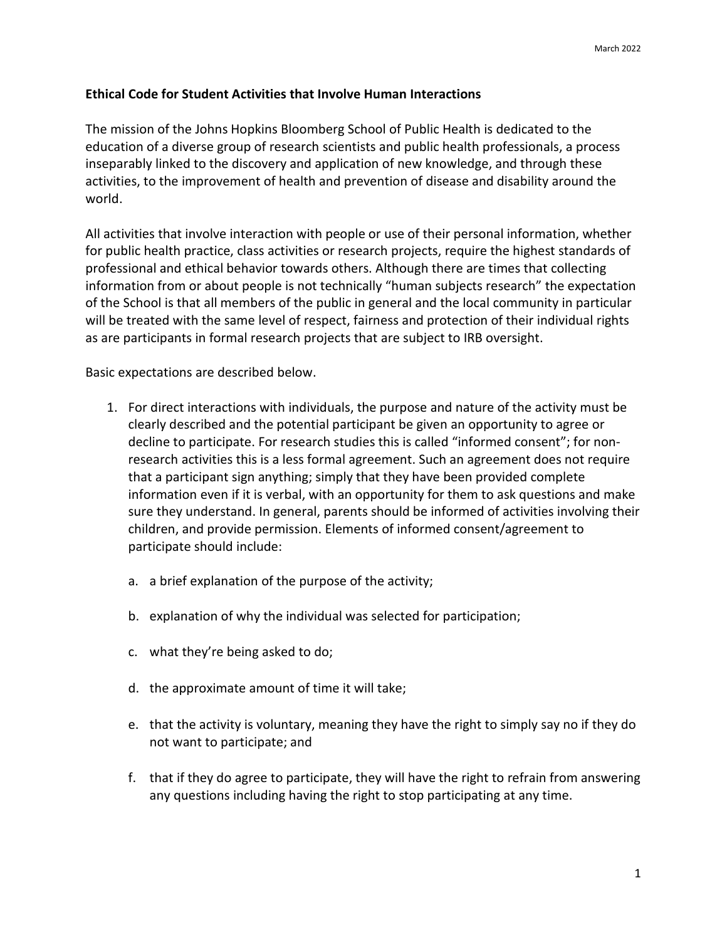## **Ethical Code for Student Activities that Involve Human Interactions**

The mission of the Johns Hopkins Bloomberg School of Public Health is dedicated to the education of a diverse group of research scientists and public health professionals, a process inseparably linked to the discovery and application of new knowledge, and through these activities, to the improvement of health and prevention of disease and disability around the world.

All activities that involve interaction with people or use of their personal information, whether for public health practice, class activities or research projects, require the highest standards of professional and ethical behavior towards others. Although there are times that collecting information from or about people is not technically "human subjects research" the expectation of the School is that all members of the public in general and the local community in particular will be treated with the same level of respect, fairness and protection of their individual rights as are participants in formal research projects that are subject to IRB oversight.

Basic expectations are described below.

- 1. For direct interactions with individuals, the purpose and nature of the activity must be clearly described and the potential participant be given an opportunity to agree or decline to participate. For research studies this is called "informed consent"; for non‐ research activities this is a less formal agreement. Such an agreement does not require that a participant sign anything; simply that they have been provided complete information even if it is verbal, with an opportunity for them to ask questions and make sure they understand. In general, parents should be informed of activities involving their children, and provide permission. Elements of informed consent/agreement to participate should include:
	- a. a brief explanation of the purpose of the activity;
	- b. explanation of why the individual was selected for participation;
	- c. what they're being asked to do;
	- d. the approximate amount of time it will take;
	- e. that the activity is voluntary, meaning they have the right to simply say no if they do not want to participate; and
	- f. that if they do agree to participate, they will have the right to refrain from answering any questions including having the right to stop participating at any time.